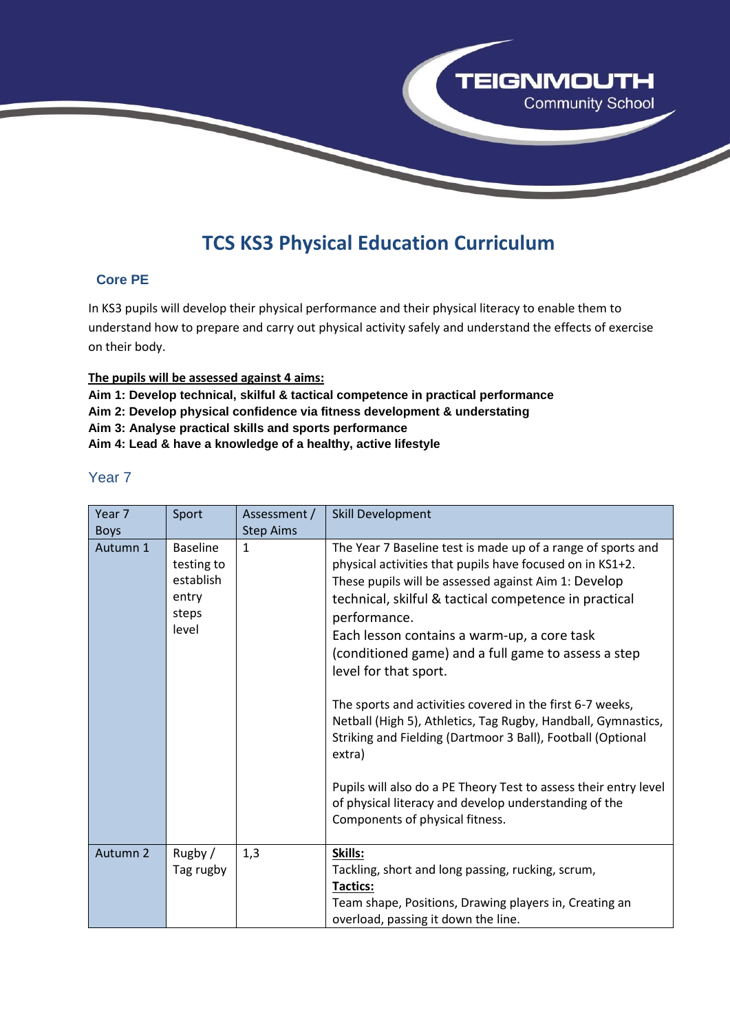

# **TCS KS3 Physical Education Curriculum**

### **Core PE**

In KS3 pupils will develop their physical performance and their physical literacy to enable them to understand how to prepare and carry out physical activity safely and understand the effects of exercise on their body.

#### **The pupils will be assessed against 4 aims:**

**Aim 1: Develop technical, skilful & tactical competence in practical performance**

**Aim 2: Develop physical confidence via fitness development & understating**

**Aim 3: Analyse practical skills and sports performance**

**Aim 4: Lead & have a knowledge of a healthy, active lifestyle**

| Year 7              | Sport                                                                 | Assessment /     | Skill Development                                                                                                                                                                                                                                                                                                                                                                                                                                                                                                                                                                                                                                                                                                                                                |
|---------------------|-----------------------------------------------------------------------|------------------|------------------------------------------------------------------------------------------------------------------------------------------------------------------------------------------------------------------------------------------------------------------------------------------------------------------------------------------------------------------------------------------------------------------------------------------------------------------------------------------------------------------------------------------------------------------------------------------------------------------------------------------------------------------------------------------------------------------------------------------------------------------|
| <b>Boys</b>         |                                                                       | <b>Step Aims</b> |                                                                                                                                                                                                                                                                                                                                                                                                                                                                                                                                                                                                                                                                                                                                                                  |
| Autumn 1            | <b>Baseline</b><br>testing to<br>establish<br>entry<br>steps<br>level | $\mathbf{1}$     | The Year 7 Baseline test is made up of a range of sports and<br>physical activities that pupils have focused on in KS1+2.<br>These pupils will be assessed against Aim 1: Develop<br>technical, skilful & tactical competence in practical<br>performance.<br>Each lesson contains a warm-up, a core task<br>(conditioned game) and a full game to assess a step<br>level for that sport.<br>The sports and activities covered in the first 6-7 weeks,<br>Netball (High 5), Athletics, Tag Rugby, Handball, Gymnastics,<br>Striking and Fielding (Dartmoor 3 Ball), Football (Optional<br>extra)<br>Pupils will also do a PE Theory Test to assess their entry level<br>of physical literacy and develop understanding of the<br>Components of physical fitness. |
| Autumn <sub>2</sub> | Rugby /<br>Tag rugby                                                  | 1,3              | Skills:<br>Tackling, short and long passing, rucking, scrum,<br><b>Tactics:</b><br>Team shape, Positions, Drawing players in, Creating an<br>overload, passing it down the line.                                                                                                                                                                                                                                                                                                                                                                                                                                                                                                                                                                                 |

## Year 7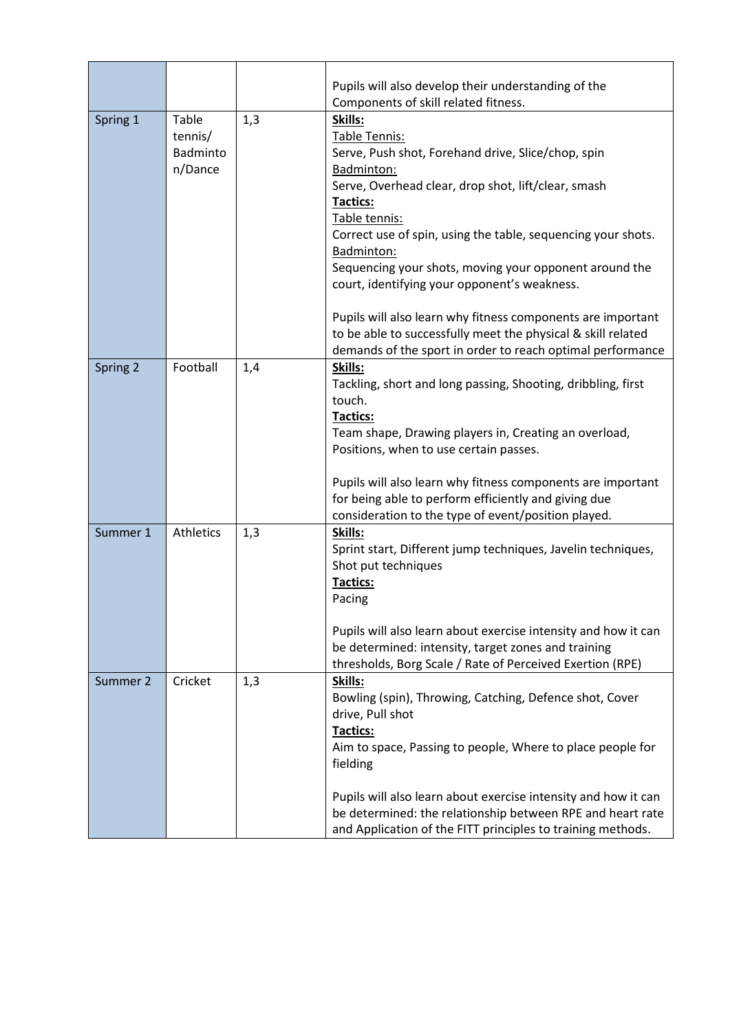|          |                                         |     | Pupils will also develop their understanding of the<br>Components of skill related fitness.                                                                                                                                                                                                                                                                                                                                                                                                                    |
|----------|-----------------------------------------|-----|----------------------------------------------------------------------------------------------------------------------------------------------------------------------------------------------------------------------------------------------------------------------------------------------------------------------------------------------------------------------------------------------------------------------------------------------------------------------------------------------------------------|
| Spring 1 | Table<br>tennis/<br>Badminto<br>n/Dance | 1,3 | Skills:<br>Table Tennis:<br>Serve, Push shot, Forehand drive, Slice/chop, spin<br>Badminton:<br>Serve, Overhead clear, drop shot, lift/clear, smash<br><b>Tactics:</b><br>Table tennis:<br>Correct use of spin, using the table, sequencing your shots.<br>Badminton:<br>Sequencing your shots, moving your opponent around the<br>court, identifying your opponent's weakness.<br>Pupils will also learn why fitness components are important<br>to be able to successfully meet the physical & skill related |
| Spring 2 | Football                                | 1,4 | demands of the sport in order to reach optimal performance<br>Skills:<br>Tackling, short and long passing, Shooting, dribbling, first<br>touch.<br><b>Tactics:</b><br>Team shape, Drawing players in, Creating an overload,<br>Positions, when to use certain passes.                                                                                                                                                                                                                                          |
|          |                                         |     | Pupils will also learn why fitness components are important<br>for being able to perform efficiently and giving due<br>consideration to the type of event/position played.                                                                                                                                                                                                                                                                                                                                     |
| Summer 1 | Athletics                               | 1,3 | Skills:<br>Sprint start, Different jump techniques, Javelin techniques,<br>Shot put techniques<br>Tactics:<br>Pacing<br>Pupils will also learn about exercise intensity and how it can<br>be determined: intensity, target zones and training                                                                                                                                                                                                                                                                  |
| Summer 2 | Cricket                                 | 1,3 | thresholds, Borg Scale / Rate of Perceived Exertion (RPE)<br>Skills:<br>Bowling (spin), Throwing, Catching, Defence shot, Cover<br>drive, Pull shot<br>Tactics:<br>Aim to space, Passing to people, Where to place people for<br>fielding<br>Pupils will also learn about exercise intensity and how it can                                                                                                                                                                                                    |
|          |                                         |     | be determined: the relationship between RPE and heart rate<br>and Application of the FITT principles to training methods.                                                                                                                                                                                                                                                                                                                                                                                      |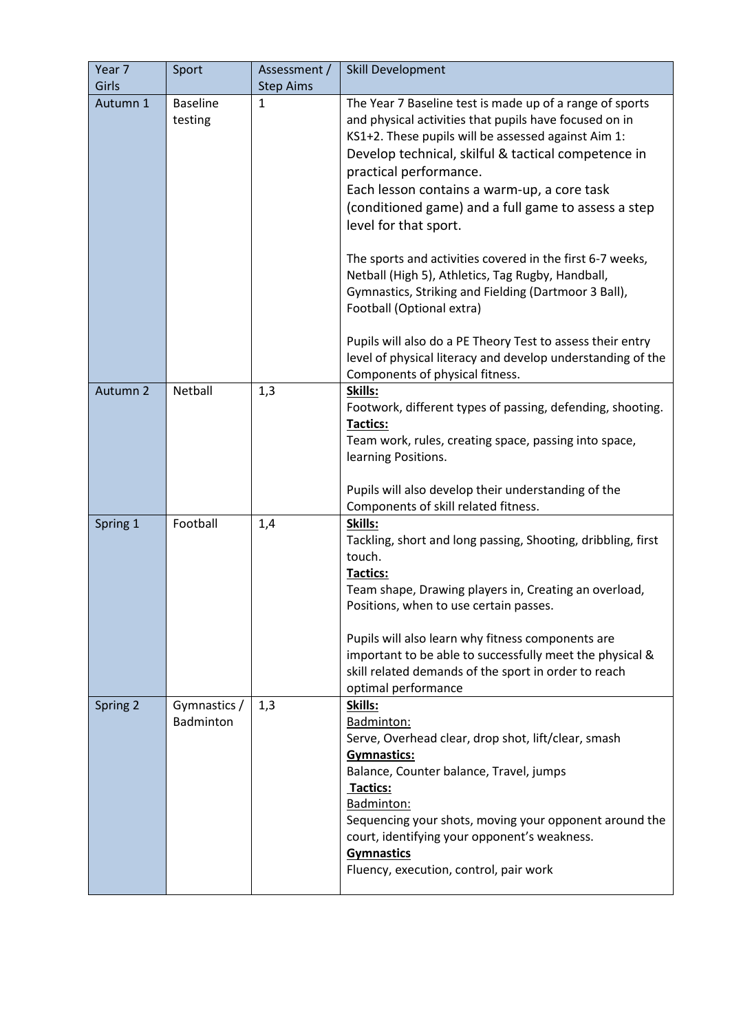| Year 7<br>Girls | Sport                      | Assessment /<br><b>Step Aims</b> | <b>Skill Development</b>                                                                                                                                                                                                                                                                                                                                                                                                                                                                                                                                                                                                                                                                                                                                         |
|-----------------|----------------------------|----------------------------------|------------------------------------------------------------------------------------------------------------------------------------------------------------------------------------------------------------------------------------------------------------------------------------------------------------------------------------------------------------------------------------------------------------------------------------------------------------------------------------------------------------------------------------------------------------------------------------------------------------------------------------------------------------------------------------------------------------------------------------------------------------------|
| Autumn 1        | <b>Baseline</b><br>testing | 1                                | The Year 7 Baseline test is made up of a range of sports<br>and physical activities that pupils have focused on in<br>KS1+2. These pupils will be assessed against Aim 1:<br>Develop technical, skilful & tactical competence in<br>practical performance.<br>Each lesson contains a warm-up, a core task<br>(conditioned game) and a full game to assess a step<br>level for that sport.<br>The sports and activities covered in the first 6-7 weeks,<br>Netball (High 5), Athletics, Tag Rugby, Handball,<br>Gymnastics, Striking and Fielding (Dartmoor 3 Ball),<br>Football (Optional extra)<br>Pupils will also do a PE Theory Test to assess their entry<br>level of physical literacy and develop understanding of the<br>Components of physical fitness. |
| Autumn 2        | Netball                    | 1,3                              | Skills:<br>Footwork, different types of passing, defending, shooting.<br><b>Tactics:</b><br>Team work, rules, creating space, passing into space,<br>learning Positions.<br>Pupils will also develop their understanding of the<br>Components of skill related fitness.                                                                                                                                                                                                                                                                                                                                                                                                                                                                                          |
| Spring 1        | Football                   | 1,4                              | Skills:<br>Tackling, short and long passing, Shooting, dribbling, first<br>touch.<br>Tactics:<br>Team shape, Drawing players in, Creating an overload,<br>Positions, when to use certain passes.<br>Pupils will also learn why fitness components are<br>important to be able to successfully meet the physical &<br>skill related demands of the sport in order to reach<br>optimal performance                                                                                                                                                                                                                                                                                                                                                                 |
| Spring 2        | Gymnastics /<br>Badminton  | 1,3                              | Skills:<br>Badminton:<br>Serve, Overhead clear, drop shot, lift/clear, smash<br>Gymnastics:<br>Balance, Counter balance, Travel, jumps<br>Tactics:<br>Badminton:<br>Sequencing your shots, moving your opponent around the<br>court, identifying your opponent's weakness.<br><b>Gymnastics</b><br>Fluency, execution, control, pair work                                                                                                                                                                                                                                                                                                                                                                                                                        |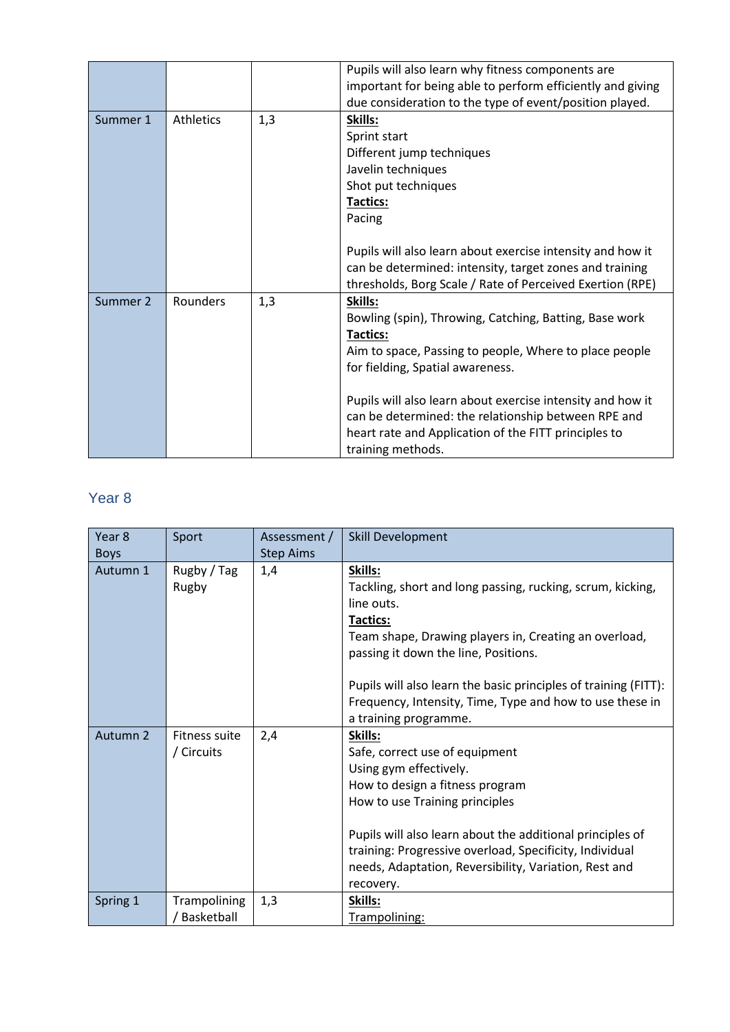|          |           |     | Pupils will also learn why fitness components are          |
|----------|-----------|-----|------------------------------------------------------------|
|          |           |     | important for being able to perform efficiently and giving |
|          |           |     | due consideration to the type of event/position played.    |
| Summer 1 | Athletics | 1,3 | Skills:                                                    |
|          |           |     | Sprint start                                               |
|          |           |     | Different jump techniques                                  |
|          |           |     | Javelin techniques                                         |
|          |           |     | Shot put techniques                                        |
|          |           |     | <b>Tactics:</b>                                            |
|          |           |     | Pacing                                                     |
|          |           |     |                                                            |
|          |           |     | Pupils will also learn about exercise intensity and how it |
|          |           |     | can be determined: intensity, target zones and training    |
|          |           |     | thresholds, Borg Scale / Rate of Perceived Exertion (RPE)  |
| Summer 2 | Rounders  | 1,3 | Skills:                                                    |
|          |           |     | Bowling (spin), Throwing, Catching, Batting, Base work     |
|          |           |     | <b>Tactics:</b>                                            |
|          |           |     | Aim to space, Passing to people, Where to place people     |
|          |           |     | for fielding, Spatial awareness.                           |
|          |           |     |                                                            |
|          |           |     | Pupils will also learn about exercise intensity and how it |
|          |           |     | can be determined: the relationship between RPE and        |
|          |           |     | heart rate and Application of the FITT principles to       |
|          |           |     | training methods.                                          |

## Year 8

| Year 8      | Sport         | Assessment /     | Skill Development                                               |
|-------------|---------------|------------------|-----------------------------------------------------------------|
| <b>Boys</b> |               | <b>Step Aims</b> |                                                                 |
| Autumn 1    | Rugby / Tag   | 1,4              | Skills:                                                         |
|             | Rugby         |                  | Tackling, short and long passing, rucking, scrum, kicking,      |
|             |               |                  | line outs.                                                      |
|             |               |                  | <b>Tactics:</b>                                                 |
|             |               |                  | Team shape, Drawing players in, Creating an overload,           |
|             |               |                  | passing it down the line, Positions.                            |
|             |               |                  |                                                                 |
|             |               |                  | Pupils will also learn the basic principles of training (FITT): |
|             |               |                  | Frequency, Intensity, Time, Type and how to use these in        |
|             |               |                  | a training programme.                                           |
| Autumn 2    | Fitness suite | 2,4              | Skills:                                                         |
|             | / Circuits    |                  | Safe, correct use of equipment                                  |
|             |               |                  | Using gym effectively.                                          |
|             |               |                  | How to design a fitness program                                 |
|             |               |                  | How to use Training principles                                  |
|             |               |                  |                                                                 |
|             |               |                  | Pupils will also learn about the additional principles of       |
|             |               |                  | training: Progressive overload, Specificity, Individual         |
|             |               |                  | needs, Adaptation, Reversibility, Variation, Rest and           |
|             |               |                  | recovery.                                                       |
| Spring 1    | Trampolining  | 1,3              | Skills:                                                         |
|             | Basketball    |                  | Trampolining:                                                   |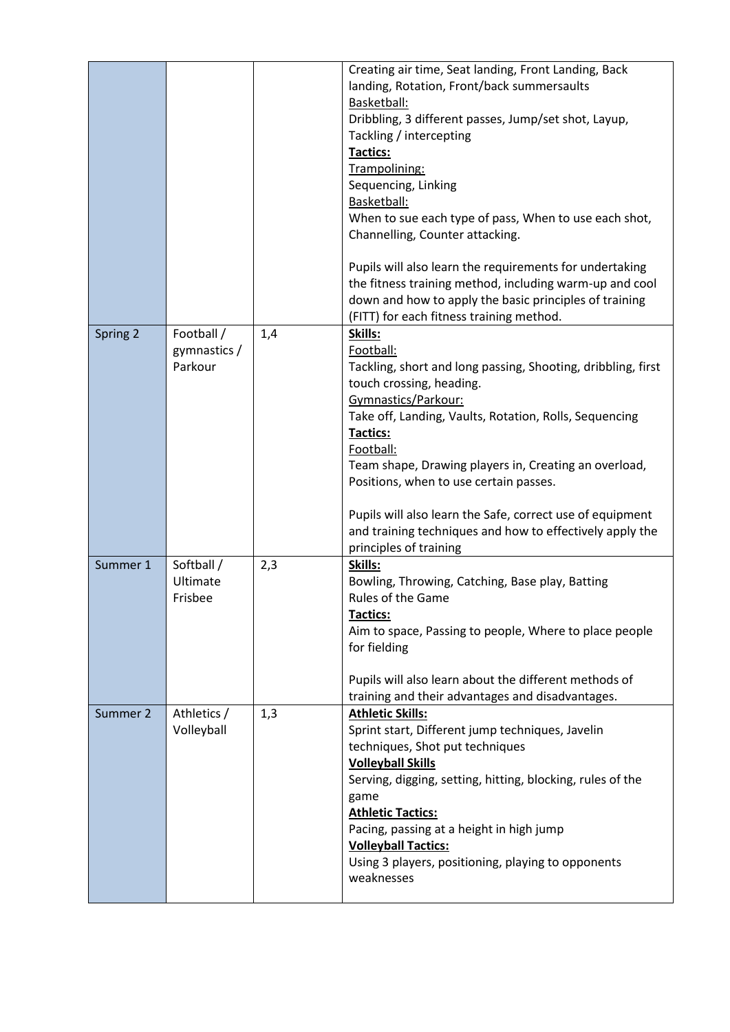|          |                                       |     | Creating air time, Seat landing, Front Landing, Back<br>landing, Rotation, Front/back summersaults<br>Basketball:<br>Dribbling, 3 different passes, Jump/set shot, Layup,<br>Tackling / intercepting<br><b>Tactics:</b><br>Trampolining:<br>Sequencing, Linking<br>Basketball:<br>When to sue each type of pass, When to use each shot,<br>Channelling, Counter attacking.<br>Pupils will also learn the requirements for undertaking<br>the fitness training method, including warm-up and cool<br>down and how to apply the basic principles of training<br>(FITT) for each fitness training method. |
|----------|---------------------------------------|-----|--------------------------------------------------------------------------------------------------------------------------------------------------------------------------------------------------------------------------------------------------------------------------------------------------------------------------------------------------------------------------------------------------------------------------------------------------------------------------------------------------------------------------------------------------------------------------------------------------------|
| Spring 2 | Football /<br>gymnastics /<br>Parkour | 1,4 | Skills:<br>Football:<br>Tackling, short and long passing, Shooting, dribbling, first<br>touch crossing, heading.<br>Gymnastics/Parkour:<br>Take off, Landing, Vaults, Rotation, Rolls, Sequencing<br><b>Tactics:</b><br>Football:<br>Team shape, Drawing players in, Creating an overload,<br>Positions, when to use certain passes.<br>Pupils will also learn the Safe, correct use of equipment<br>and training techniques and how to effectively apply the<br>principles of training                                                                                                                |
| Summer 1 | Softball /<br>Ultimate<br>Frisbee     | 2,3 | Skills:<br>Bowling, Throwing, Catching, Base play, Batting<br>Rules of the Game<br><b>Tactics:</b><br>Aim to space, Passing to people, Where to place people<br>for fielding<br>Pupils will also learn about the different methods of<br>training and their advantages and disadvantages.                                                                                                                                                                                                                                                                                                              |
| Summer 2 | Athletics /<br>Volleyball             | 1,3 | <b>Athletic Skills:</b><br>Sprint start, Different jump techniques, Javelin<br>techniques, Shot put techniques<br><b>Volleyball Skills</b><br>Serving, digging, setting, hitting, blocking, rules of the<br>game<br><b>Athletic Tactics:</b><br>Pacing, passing at a height in high jump<br><b>Volleyball Tactics:</b><br>Using 3 players, positioning, playing to opponents<br>weaknesses                                                                                                                                                                                                             |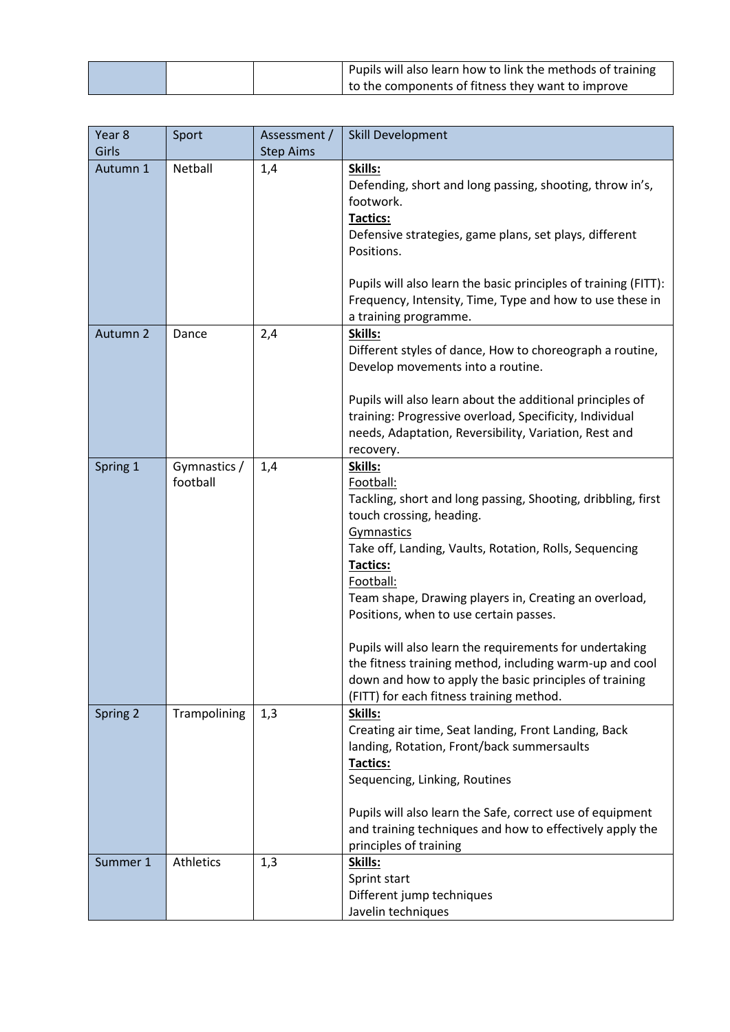|  | Pupils will also learn how to link the methods of training     |
|--|----------------------------------------------------------------|
|  | <sup>1</sup> to the components of fitness they want to improve |

| Year <sub>8</sub> | Sport                    | Assessment /     | Skill Development                                                                                                                                                                                                                                                                                                                                                                                                                                                                                                                                |
|-------------------|--------------------------|------------------|--------------------------------------------------------------------------------------------------------------------------------------------------------------------------------------------------------------------------------------------------------------------------------------------------------------------------------------------------------------------------------------------------------------------------------------------------------------------------------------------------------------------------------------------------|
| Girls             |                          | <b>Step Aims</b> |                                                                                                                                                                                                                                                                                                                                                                                                                                                                                                                                                  |
| Autumn 1          | Netball                  | 1,4              | Skills:<br>Defending, short and long passing, shooting, throw in's,<br>footwork.<br><b>Tactics:</b><br>Defensive strategies, game plans, set plays, different<br>Positions.<br>Pupils will also learn the basic principles of training (FITT):<br>Frequency, Intensity, Time, Type and how to use these in                                                                                                                                                                                                                                       |
|                   |                          |                  | a training programme.                                                                                                                                                                                                                                                                                                                                                                                                                                                                                                                            |
| Autumn 2          | Dance                    | 2,4              | Skills:<br>Different styles of dance, How to choreograph a routine,<br>Develop movements into a routine.<br>Pupils will also learn about the additional principles of<br>training: Progressive overload, Specificity, Individual<br>needs, Adaptation, Reversibility, Variation, Rest and<br>recovery.                                                                                                                                                                                                                                           |
| Spring 1          | Gymnastics /<br>football | 1,4              | Skills:<br>Football:<br>Tackling, short and long passing, Shooting, dribbling, first<br>touch crossing, heading.<br>Gymnastics<br>Take off, Landing, Vaults, Rotation, Rolls, Sequencing<br>Tactics:<br>Football:<br>Team shape, Drawing players in, Creating an overload,<br>Positions, when to use certain passes.<br>Pupils will also learn the requirements for undertaking<br>the fitness training method, including warm-up and cool<br>down and how to apply the basic principles of training<br>(FITT) for each fitness training method. |
| Spring 2          | Trampolining             | 1,3              | Skills:<br>Creating air time, Seat landing, Front Landing, Back<br>landing, Rotation, Front/back summersaults<br><b>Tactics:</b><br>Sequencing, Linking, Routines<br>Pupils will also learn the Safe, correct use of equipment<br>and training techniques and how to effectively apply the<br>principles of training                                                                                                                                                                                                                             |
| Summer 1          | Athletics                | 1,3              | Skills:<br>Sprint start<br>Different jump techniques<br>Javelin techniques                                                                                                                                                                                                                                                                                                                                                                                                                                                                       |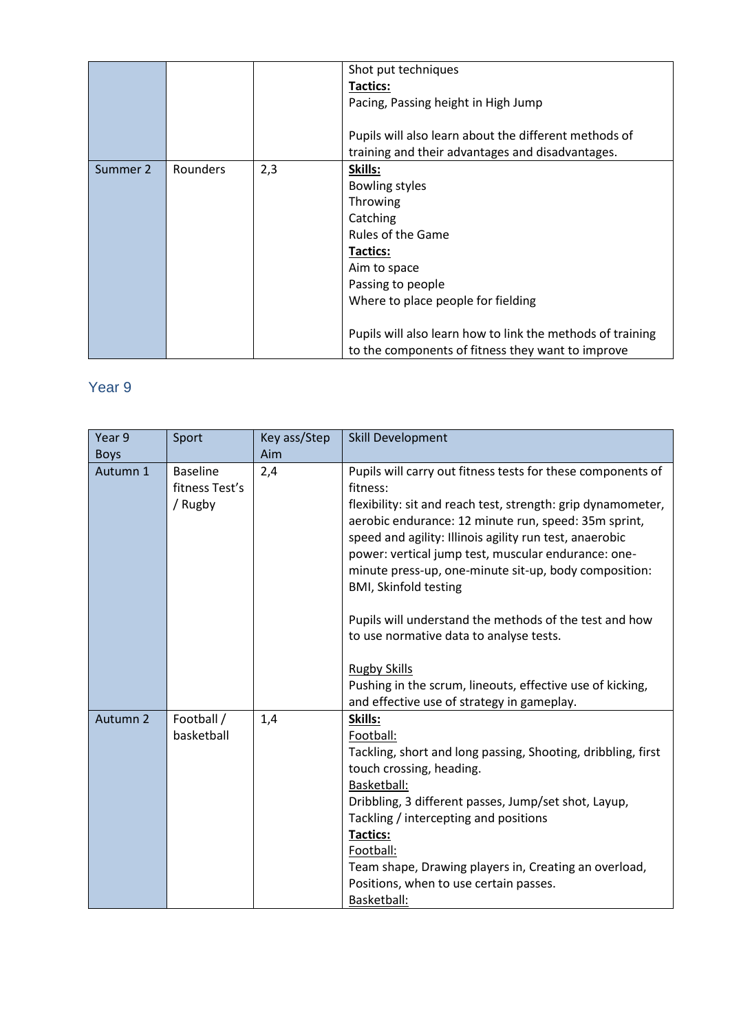|          |          |     | Shot put techniques                                        |
|----------|----------|-----|------------------------------------------------------------|
|          |          |     |                                                            |
|          |          |     | Tactics:                                                   |
|          |          |     | Pacing, Passing height in High Jump                        |
|          |          |     |                                                            |
|          |          |     | Pupils will also learn about the different methods of      |
|          |          |     | training and their advantages and disadvantages.           |
| Summer 2 | Rounders | 2,3 | Skills:                                                    |
|          |          |     | <b>Bowling styles</b>                                      |
|          |          |     | Throwing                                                   |
|          |          |     | Catching                                                   |
|          |          |     | Rules of the Game                                          |
|          |          |     | Tactics:                                                   |
|          |          |     | Aim to space                                               |
|          |          |     | Passing to people                                          |
|          |          |     | Where to place people for fielding                         |
|          |          |     |                                                            |
|          |          |     | Pupils will also learn how to link the methods of training |
|          |          |     | to the components of fitness they want to improve          |

# Year 9

| Year 9<br><b>Boys</b> | Sport                                        | Key ass/Step<br>Aim | Skill Development                                                                                                                                                                                                                                                                                                                                                                                                                                                                                                                                                                                                                                 |
|-----------------------|----------------------------------------------|---------------------|---------------------------------------------------------------------------------------------------------------------------------------------------------------------------------------------------------------------------------------------------------------------------------------------------------------------------------------------------------------------------------------------------------------------------------------------------------------------------------------------------------------------------------------------------------------------------------------------------------------------------------------------------|
| Autumn 1              | <b>Baseline</b><br>fitness Test's<br>/ Rugby | 2,4                 | Pupils will carry out fitness tests for these components of<br>fitness:<br>flexibility: sit and reach test, strength: grip dynamometer,<br>aerobic endurance: 12 minute run, speed: 35m sprint,<br>speed and agility: Illinois agility run test, anaerobic<br>power: vertical jump test, muscular endurance: one-<br>minute press-up, one-minute sit-up, body composition:<br><b>BMI, Skinfold testing</b><br>Pupils will understand the methods of the test and how<br>to use normative data to analyse tests.<br><b>Rugby Skills</b><br>Pushing in the scrum, lineouts, effective use of kicking,<br>and effective use of strategy in gameplay. |
| Autumn 2              | Football /<br>basketball                     | 1,4                 | Skills:<br>Football:<br>Tackling, short and long passing, Shooting, dribbling, first<br>touch crossing, heading.<br>Basketball:<br>Dribbling, 3 different passes, Jump/set shot, Layup,<br>Tackling / intercepting and positions<br>Tactics:<br>Football:<br>Team shape, Drawing players in, Creating an overload,<br>Positions, when to use certain passes.<br>Basketball:                                                                                                                                                                                                                                                                       |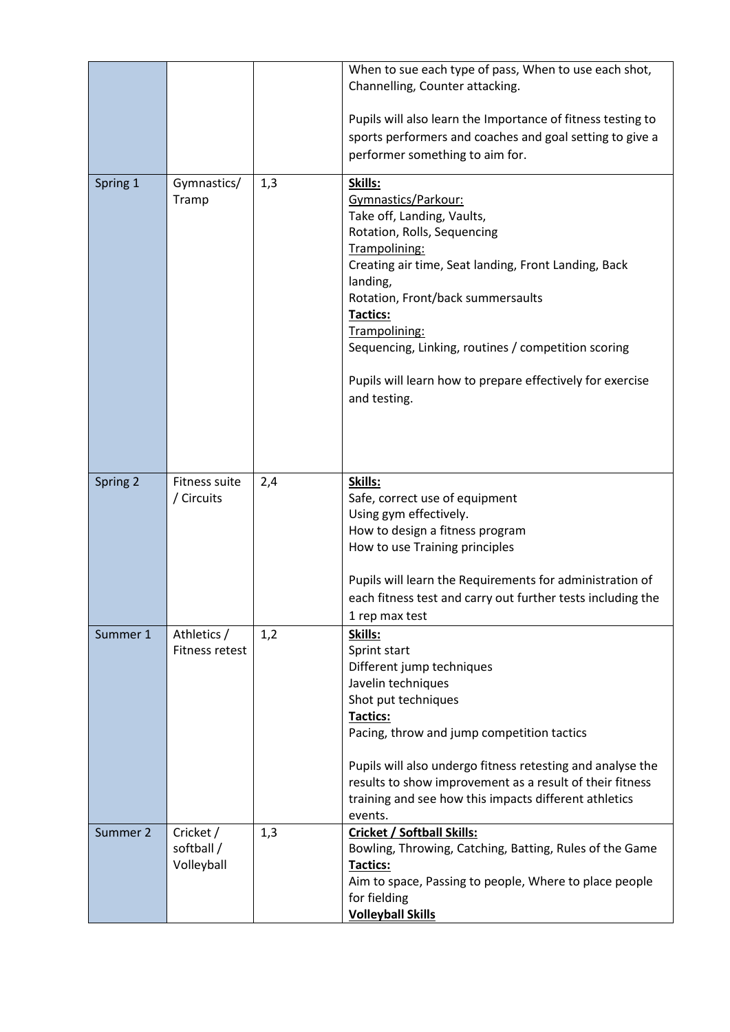|          |                                       |     | When to sue each type of pass, When to use each shot,<br>Channelling, Counter attacking.<br>Pupils will also learn the Importance of fitness testing to<br>sports performers and coaches and goal setting to give a<br>performer something to aim for.                                                                                                                                 |
|----------|---------------------------------------|-----|----------------------------------------------------------------------------------------------------------------------------------------------------------------------------------------------------------------------------------------------------------------------------------------------------------------------------------------------------------------------------------------|
| Spring 1 | Gymnastics/<br>Tramp                  | 1,3 | Skills:<br>Gymnastics/Parkour:<br>Take off, Landing, Vaults,<br>Rotation, Rolls, Sequencing<br>Trampolining:<br>Creating air time, Seat landing, Front Landing, Back<br>landing,<br>Rotation, Front/back summersaults<br>Tactics:<br>Trampolining:<br>Sequencing, Linking, routines / competition scoring<br>Pupils will learn how to prepare effectively for exercise<br>and testing. |
| Spring 2 | Fitness suite<br>/ Circuits           | 2,4 | Skills:<br>Safe, correct use of equipment<br>Using gym effectively.<br>How to design a fitness program<br>How to use Training principles<br>Pupils will learn the Requirements for administration of<br>each fitness test and carry out further tests including the<br>1 rep max test                                                                                                  |
| Summer 1 | Athletics /<br>Fitness retest         | 1,2 | Skills:<br>Sprint start<br>Different jump techniques<br>Javelin techniques<br>Shot put techniques<br>Tactics:<br>Pacing, throw and jump competition tactics<br>Pupils will also undergo fitness retesting and analyse the<br>results to show improvement as a result of their fitness<br>training and see how this impacts different athletics<br>events.                              |
| Summer 2 | Cricket /<br>softball /<br>Volleyball | 1,3 | <b>Cricket / Softball Skills:</b><br>Bowling, Throwing, Catching, Batting, Rules of the Game<br>Tactics:<br>Aim to space, Passing to people, Where to place people<br>for fielding<br><b>Volleyball Skills</b>                                                                                                                                                                         |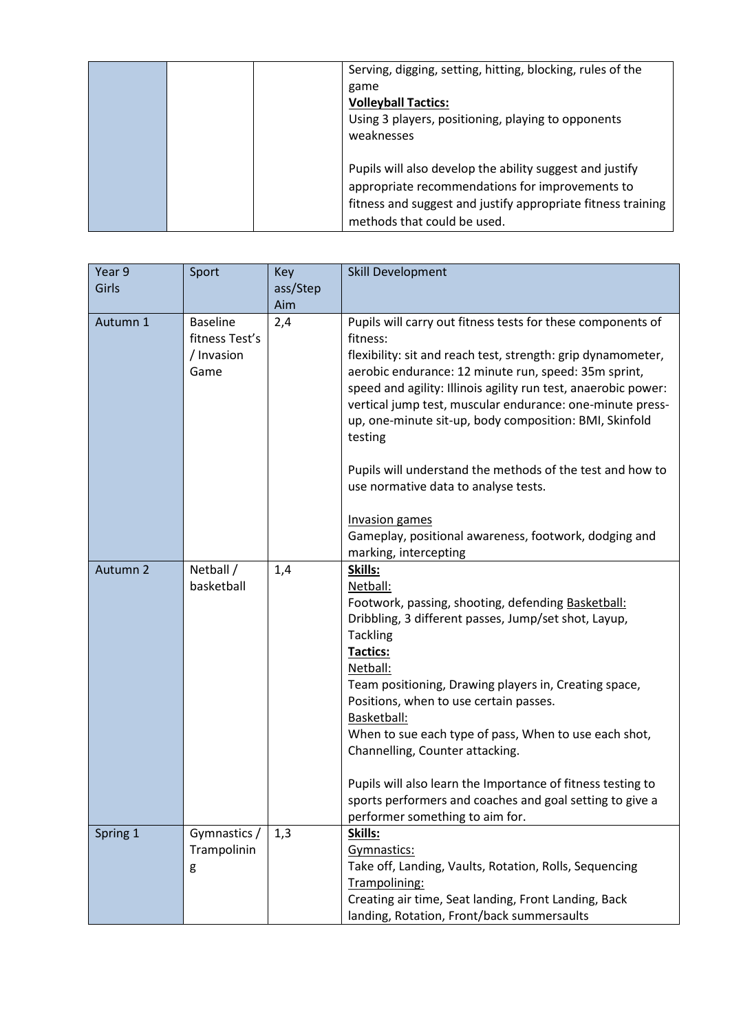|  | Serving, digging, setting, hitting, blocking, rules of the<br>game<br><b>Volleyball Tactics:</b><br>Using 3 players, positioning, playing to opponents<br>weaknesses                                       |
|--|------------------------------------------------------------------------------------------------------------------------------------------------------------------------------------------------------------|
|  | Pupils will also develop the ability suggest and justify<br>appropriate recommendations for improvements to<br>fitness and suggest and justify appropriate fitness training<br>methods that could be used. |

| Year 9   | Sport                                                   | <b>Key</b> | Skill Development                                                                                                                                                                                                                                                                                                                                                                                                                                                                                                                                                                                                   |
|----------|---------------------------------------------------------|------------|---------------------------------------------------------------------------------------------------------------------------------------------------------------------------------------------------------------------------------------------------------------------------------------------------------------------------------------------------------------------------------------------------------------------------------------------------------------------------------------------------------------------------------------------------------------------------------------------------------------------|
| Girls    |                                                         | ass/Step   |                                                                                                                                                                                                                                                                                                                                                                                                                                                                                                                                                                                                                     |
|          |                                                         | Aim        |                                                                                                                                                                                                                                                                                                                                                                                                                                                                                                                                                                                                                     |
| Autumn 1 | <b>Baseline</b><br>fitness Test's<br>/ Invasion<br>Game | 2,4        | Pupils will carry out fitness tests for these components of<br>fitness:<br>flexibility: sit and reach test, strength: grip dynamometer,<br>aerobic endurance: 12 minute run, speed: 35m sprint,<br>speed and agility: Illinois agility run test, anaerobic power:<br>vertical jump test, muscular endurance: one-minute press-<br>up, one-minute sit-up, body composition: BMI, Skinfold<br>testing<br>Pupils will understand the methods of the test and how to<br>use normative data to analyse tests.<br><b>Invasion games</b><br>Gameplay, positional awareness, footwork, dodging and<br>marking, intercepting |
| Autumn 2 | Netball /<br>basketball                                 | 1,4        | Skills:<br>Netball:<br>Footwork, passing, shooting, defending Basketball:<br>Dribbling, 3 different passes, Jump/set shot, Layup,<br><b>Tackling</b><br>Tactics:<br>Netball:<br>Team positioning, Drawing players in, Creating space,<br>Positions, when to use certain passes.<br>Basketball:<br>When to sue each type of pass, When to use each shot,<br>Channelling, Counter attacking.<br>Pupils will also learn the Importance of fitness testing to<br>sports performers and coaches and goal setting to give a<br>performer something to aim for.                                                            |
| Spring 1 | Gymnastics /<br>Trampolinin<br>g                        | 1,3        | Skills:<br>Gymnastics:<br>Take off, Landing, Vaults, Rotation, Rolls, Sequencing<br>Trampolining:<br>Creating air time, Seat landing, Front Landing, Back<br>landing, Rotation, Front/back summersaults                                                                                                                                                                                                                                                                                                                                                                                                             |